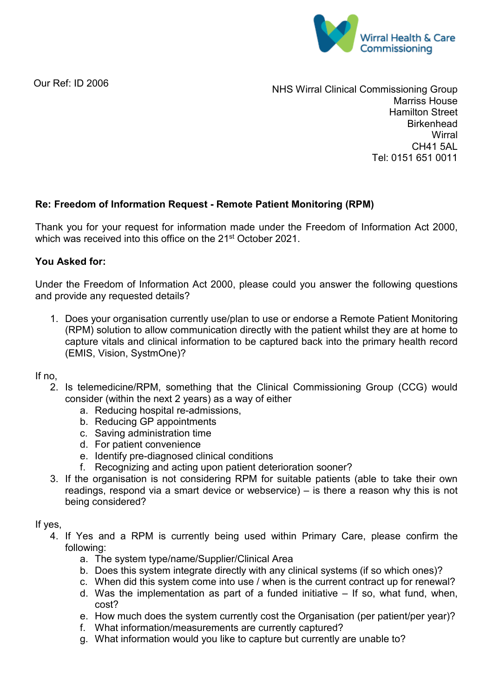

Our Ref: ID 2006

NHS Wirral Clinical Commissioning Group Marriss House Hamilton Street **Birkenhead Wirral** CH41 5AL Tel: 0151 651 0011

## **Re: Freedom of Information Request - Remote Patient Monitoring (RPM)**

Thank you for your request for information made under the Freedom of Information Act 2000, which was received into this office on the 21<sup>st</sup> October 2021.

## **You Asked for:**

Under the Freedom of Information Act 2000, please could you answer the following questions and provide any requested details?

1. Does your organisation currently use/plan to use or endorse a Remote Patient Monitoring (RPM) solution to allow communication directly with the patient whilst they are at home to capture vitals and clinical information to be captured back into the primary health record (EMIS, Vision, SystmOne)?

If no,

- 2. Is telemedicine/RPM, something that the Clinical Commissioning Group (CCG) would consider (within the next 2 years) as a way of either
	- a. Reducing hospital re-admissions,
	- b. Reducing GP appointments
	- c. Saving administration time
	- d. For patient convenience
	- e. Identify pre-diagnosed clinical conditions
	- f. Recognizing and acting upon patient deterioration sooner?
- 3. If the organisation is not considering RPM for suitable patients (able to take their own readings, respond via a smart device or webservice) – is there a reason why this is not being considered?

If yes,

- 4. If Yes and a RPM is currently being used within Primary Care, please confirm the following:
	- a. The system type/name/Supplier/Clinical Area
	- b. Does this system integrate directly with any clinical systems (if so which ones)?
	- c. When did this system come into use / when is the current contract up for renewal?
	- d. Was the implementation as part of a funded initiative If so, what fund, when, cost?
	- e. How much does the system currently cost the Organisation (per patient/per year)?
	- f. What information/measurements are currently captured?
	- g. What information would you like to capture but currently are unable to?